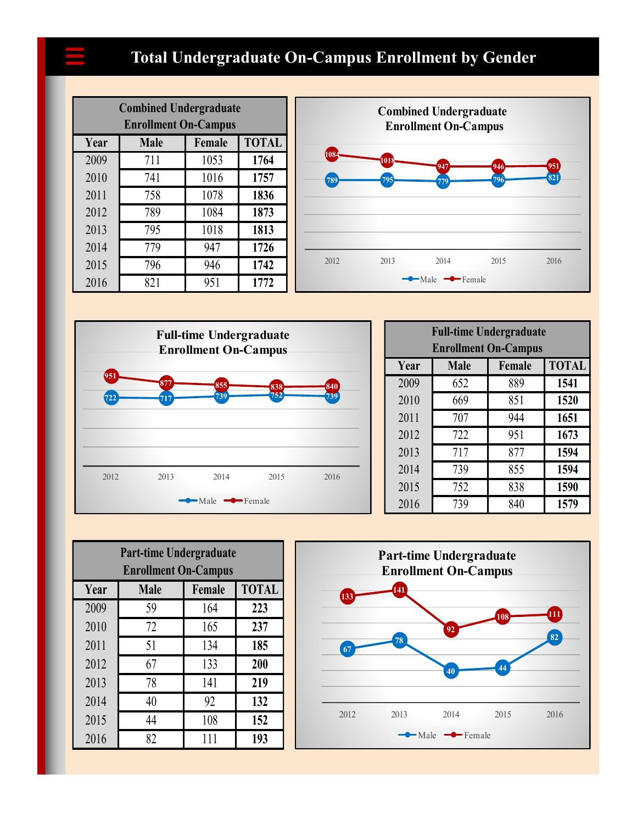## **Total Undergraduate On-Campus Enrollment by Gender**

| <b>Combined Undergraduate</b><br><b>Enrollment On-Campus</b> |             |        |              |      |
|--------------------------------------------------------------|-------------|--------|--------------|------|
| Year                                                         | <b>Male</b> | Female | <b>TOTAL</b> |      |
| 2009                                                         | 711         | 1053   | 1764         | 108  |
| 2010                                                         | 741         | 1016   | 1757         | 789  |
| 2011                                                         | 758         | 1078   | 1836         |      |
| 2012                                                         | 789         | 1084   | 1873         |      |
| 2013                                                         | 795         | 1018   | 1813         |      |
| 2014                                                         | 779         | 947    | 1726         |      |
| 2015                                                         | 796         | 946    | 1742         | 2012 |
| 2016                                                         | 821         | 951    | 1772         |      |





| <b>Full-time Undergraduate</b><br><b>Enrollment On-Campus</b> |             |        |              |  |
|---------------------------------------------------------------|-------------|--------|--------------|--|
| Year                                                          | <b>Male</b> | Female | <b>TOTAL</b> |  |
| 2009                                                          | 652         | 889    | 1541         |  |
| 2010                                                          | 669         | 851    | 1520         |  |
| 2011                                                          | 707         | 944    | 1651         |  |
| 2012                                                          | 722         | 951    | 1673         |  |
| 2013                                                          | 717         | 877    | 1594         |  |
| 2014                                                          | 739         | 855    | 1594         |  |
| 2015                                                          | 752         | 838    | 1590         |  |
| 2016                                                          | 739         | 840    | 1579         |  |

|      | <b>Part-time Undergraduate</b><br><b>Enrollment On-Campus</b> |        |              |  |
|------|---------------------------------------------------------------|--------|--------------|--|
| Year | <b>Male</b>                                                   | Female | <b>TOTAL</b> |  |
| 2009 | 59                                                            | 164    | 223          |  |
| 2010 | 72                                                            | 165    | 237          |  |
| 2011 | 51                                                            | 134    | 185          |  |
| 2012 | 67                                                            | 133    | 200          |  |
| 2013 | 78                                                            | 141    | 219          |  |
| 2014 | 40                                                            | 92     | 132          |  |
| 2015 | 44                                                            | 108    | 152          |  |
| 2016 | 82                                                            | 111    | 193          |  |

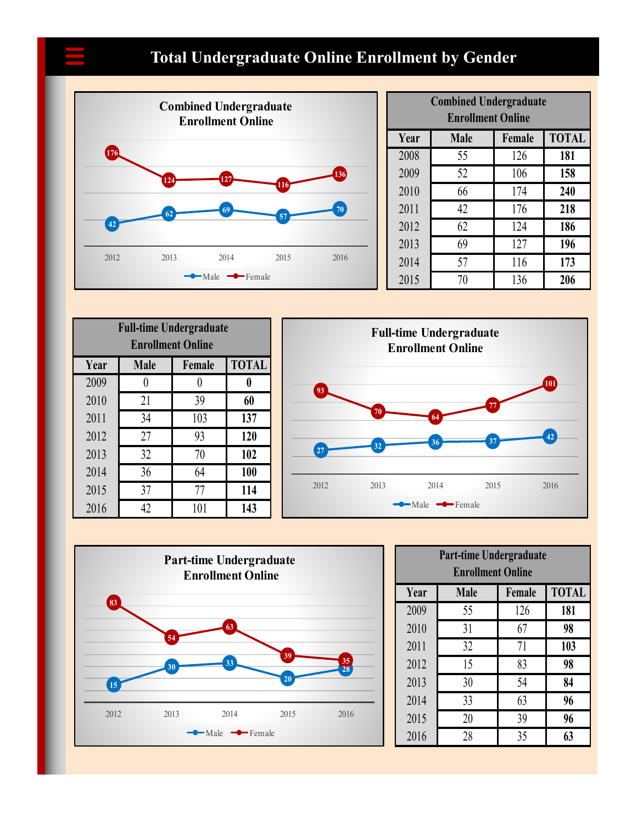## **Total Undergraduate Online Enrollment by Gender**



| <b>Combined Undergraduate</b><br><b>Enrollment Online</b> |             |        |              |  |
|-----------------------------------------------------------|-------------|--------|--------------|--|
| Year                                                      | <b>Male</b> | Female | <b>TOTAL</b> |  |
| 2008                                                      | 55          | 126    | 181          |  |
| 2009                                                      | 52          | 106    | 158          |  |
| 2010                                                      | 66          | 174    | 240          |  |
| 2011                                                      | 42          | 176    | 218          |  |
| 2012                                                      | 62          | 124    | 186          |  |
| 2013                                                      | 69          | 127    | 196          |  |
| 2014                                                      | 57          | 116    | 173          |  |
| 2015                                                      | 70          | 136    | 206          |  |

|      |             | <b>Full-time Undergraduate</b><br><b>Enrollment Online</b> |              |      |
|------|-------------|------------------------------------------------------------|--------------|------|
| Year | <b>Male</b> | Female                                                     | <b>TOTAL</b> |      |
| 2009 |             |                                                            |              | 93   |
| 2010 | 21          | 39                                                         | 60           |      |
| 2011 | 34          | 103                                                        | 137          |      |
| 2012 | 27          | 93                                                         | 120          |      |
| 2013 | 32          | 70                                                         | 102          | 27   |
| 2014 | 36          | 64                                                         | 100          |      |
| 2015 | 37          | 77                                                         | 114          | 2012 |
| 2016 | 42          | 101                                                        | 143          |      |





|      | <b>Part-time Undergraduate</b> |        |              |  |  |
|------|--------------------------------|--------|--------------|--|--|
|      | <b>Enrollment Online</b>       |        |              |  |  |
| Year | <b>Male</b>                    | Female | <b>TOTAL</b> |  |  |
| 2009 | 55                             | 126    | 181          |  |  |
| 2010 | 31                             | 67     | 98           |  |  |
| 2011 | 32                             | 71     | 103          |  |  |
| 2012 | 15                             | 83     | 98           |  |  |
| 2013 | 30                             | 54     | 84           |  |  |
| 2014 | 33                             | 63     | 96           |  |  |
| 2015 | 20                             | 39     | 96           |  |  |
| 2016 | 28                             | 35     | 63           |  |  |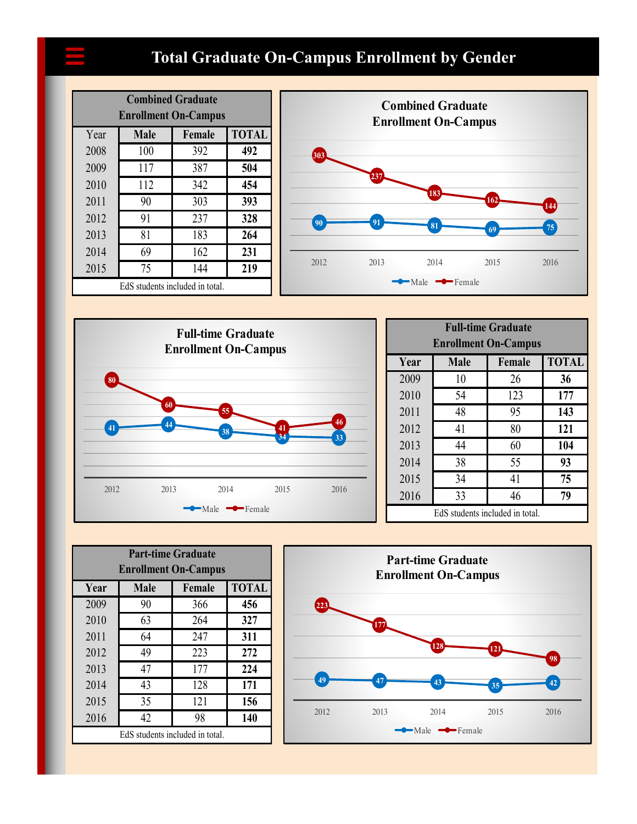## **Total Graduate On-Campus Enrollment by Gender**

|      | <b>Enrollment On-Campus</b> |                                 |              |      |
|------|-----------------------------|---------------------------------|--------------|------|
| Year | <b>Male</b>                 | Female                          | <b>TOTAL</b> |      |
| 2008 | 100                         | 392                             | 492          | 303  |
| 2009 | 117                         | 387                             | 504          |      |
| 2010 | 112                         | 342                             | 454          |      |
| 2011 | 90                          | 303                             | 393          |      |
| 2012 | 91                          | 237                             | 328          | 90   |
| 2013 | 81                          | 183                             | 264          |      |
| 2014 | 69                          | 162                             | 231          |      |
| 2015 | 75                          | 144                             | 219          | 2012 |
|      |                             | EdS students included in total. |              |      |





|      | <b>Full-time Graduate</b><br><b>Enrollment On-Campus</b> |                                 |              |  |  |
|------|----------------------------------------------------------|---------------------------------|--------------|--|--|
| Year | <b>Male</b>                                              | Female                          | <b>TOTAL</b> |  |  |
| 2009 | 10                                                       | 26                              | 36           |  |  |
| 2010 | 54                                                       | 123                             | 177          |  |  |
| 2011 | 48                                                       | 95                              | 143          |  |  |
| 2012 | 41                                                       | 80                              | 121          |  |  |
| 2013 | 44                                                       | 60                              | 104          |  |  |
| 2014 | 38                                                       | 55                              | 93           |  |  |
| 2015 | 34                                                       | 41                              | 75           |  |  |
| 2016 | 33                                                       | 46                              | 79           |  |  |
|      |                                                          | EdS students included in total. |              |  |  |

|      |      | <b>Part-time Graduate</b><br><b>Enrollment On-Campus</b> |              |      |
|------|------|----------------------------------------------------------|--------------|------|
| Year | Male | Female                                                   | <b>TOTAL</b> |      |
| 2009 | 90   | 366                                                      | 456          | 223  |
| 2010 | 63   | 264                                                      | 327          |      |
| 2011 | 64   | 247                                                      | 311          |      |
| 2012 | 49   | 223                                                      | 272          |      |
| 2013 | 47   | 177                                                      | 224          |      |
| 2014 | 43   | 128                                                      | 171          | 49   |
| 2015 | 35   | 121                                                      | 156          |      |
| 2016 | 42   | 98                                                       | 140          | 2012 |
|      |      | EdS students included in total.                          |              |      |